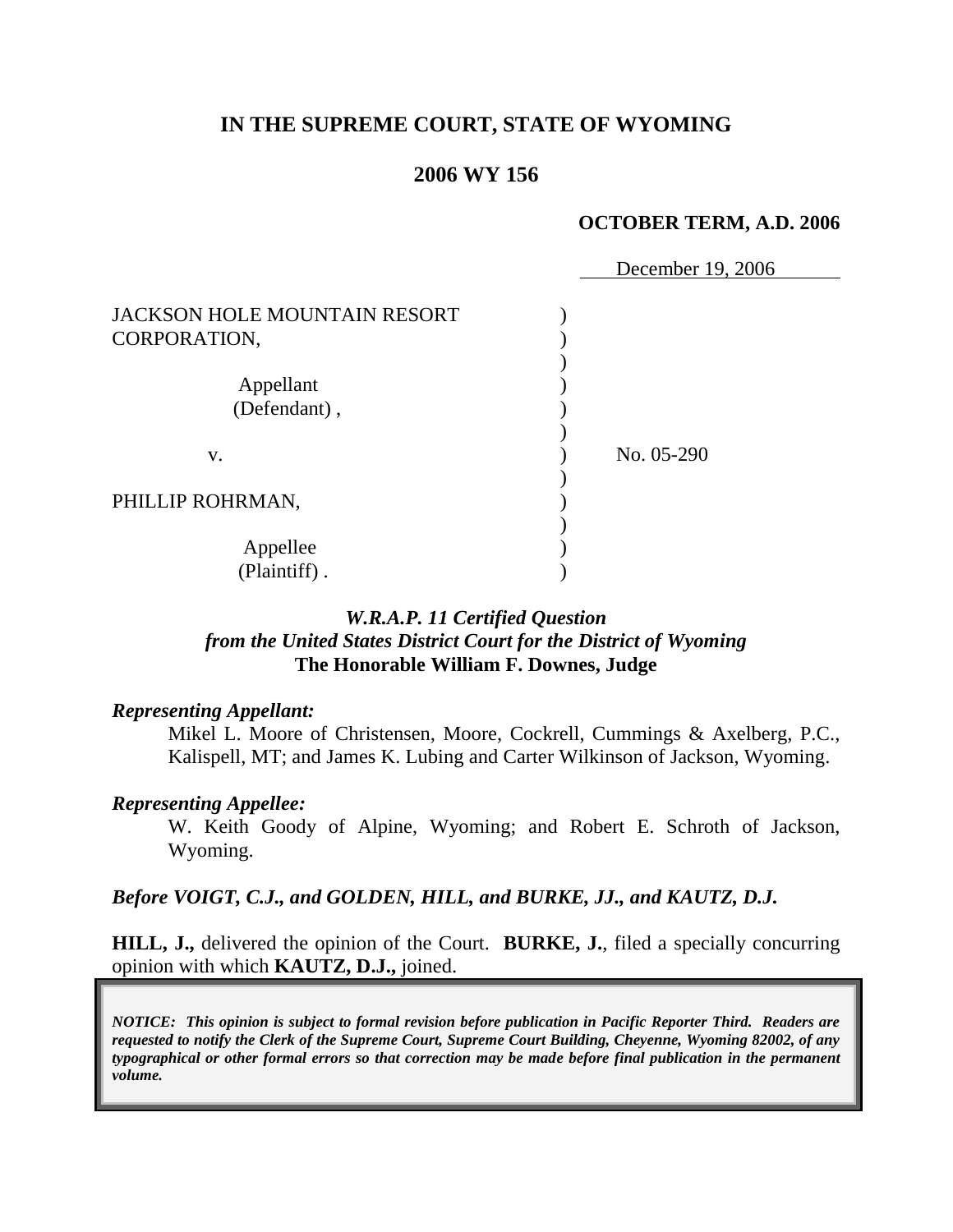# **IN THE SUPREME COURT, STATE OF WYOMING**

## **2006 WY 156**

### **OCTOBER TERM, A.D. 2006**

|                                     | December 19, 2006 |
|-------------------------------------|-------------------|
| <b>JACKSON HOLE MOUNTAIN RESORT</b> |                   |
| CORPORATION,                        |                   |
|                                     |                   |
| Appellant                           |                   |
| (Defendant),                        |                   |
|                                     |                   |
| V.                                  | No. 05-290        |
|                                     |                   |
| PHILLIP ROHRMAN,                    |                   |
|                                     |                   |
| Appellee                            |                   |
| (Plaintiff).                        |                   |

# *W.R.A.P. 11 Certified Question from the United States District Court for the District of Wyoming* **The Honorable William F. Downes, Judge**

### *Representing Appellant:*

Mikel L. Moore of Christensen, Moore, Cockrell, Cummings & Axelberg, P.C., Kalispell, MT; and James K. Lubing and Carter Wilkinson of Jackson, Wyoming.

### *Representing Appellee:*

W. Keith Goody of Alpine, Wyoming; and Robert E. Schroth of Jackson, Wyoming.

### *Before VOIGT, C.J., and GOLDEN, HILL, and BURKE, JJ., and KAUTZ, D.J.*

**HILL, J.,** delivered the opinion of the Court. **BURKE, J.**, filed a specially concurring opinion with which **KAUTZ, D.J.,** joined.

*NOTICE: This opinion is subject to formal revision before publication in Pacific Reporter Third. Readers are requested to notify the Clerk of the Supreme Court, Supreme Court Building, Cheyenne, Wyoming 82002, of any typographical or other formal errors so that correction may be made before final publication in the permanent volume.*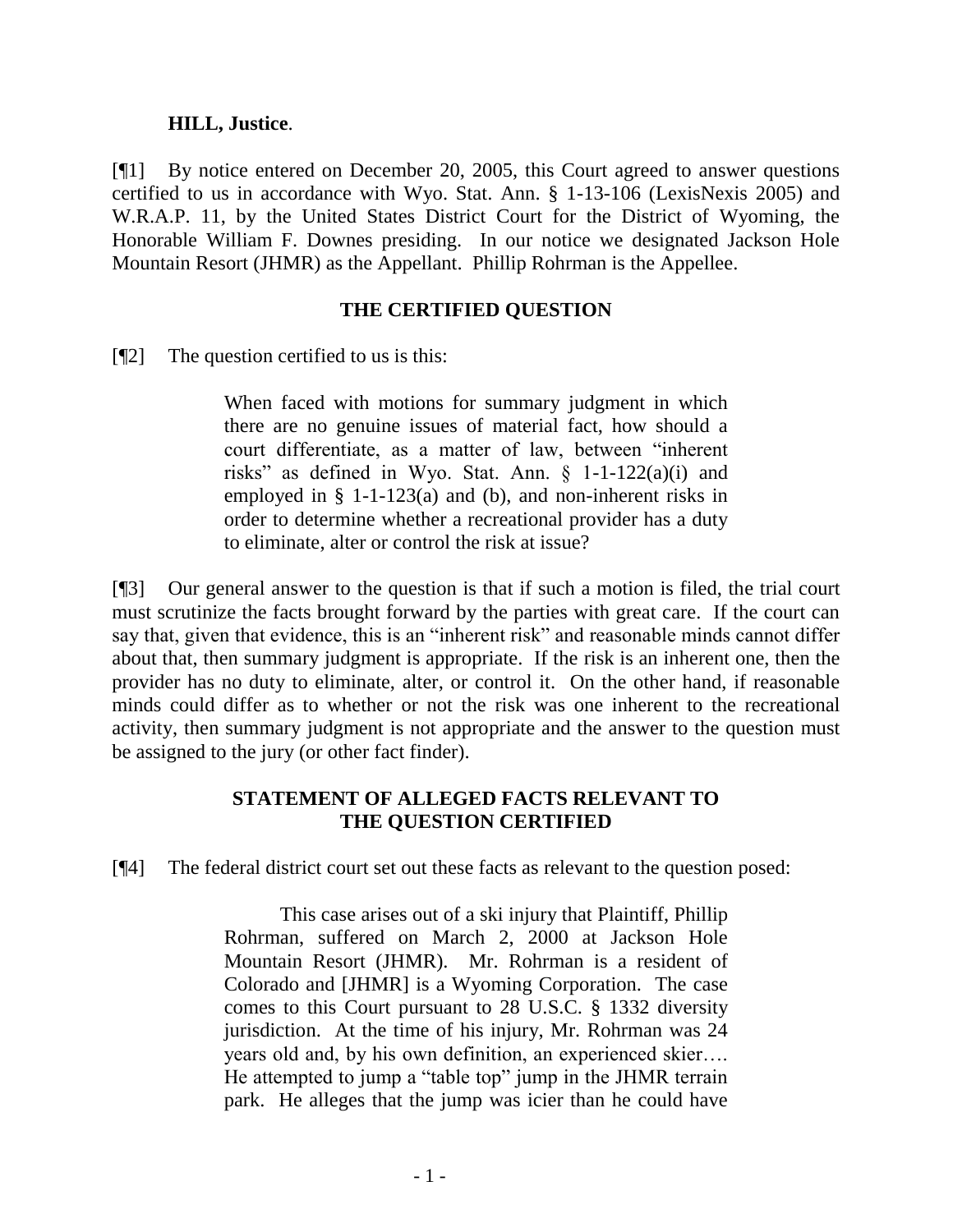### **HILL, Justice**.

[¶1] By notice entered on December 20, 2005, this Court agreed to answer questions certified to us in accordance with Wyo. Stat. Ann. § 1-13-106 (LexisNexis 2005) and W.R.A.P. 11, by the United States District Court for the District of Wyoming, the Honorable William F. Downes presiding. In our notice we designated Jackson Hole Mountain Resort (JHMR) as the Appellant. Phillip Rohrman is the Appellee.

### **THE CERTIFIED QUESTION**

 $[$ [2] The question certified to us is this:

When faced with motions for summary judgment in which there are no genuine issues of material fact, how should a court differentiate, as a matter of law, between "inherent risks" as defined in Wyo. Stat. Ann.  $\S$  1-1-122(a)(i) and employed in § 1-1-123(a) and (b), and non-inherent risks in order to determine whether a recreational provider has a duty to eliminate, alter or control the risk at issue?

[¶3] Our general answer to the question is that if such a motion is filed, the trial court must scrutinize the facts brought forward by the parties with great care. If the court can say that, given that evidence, this is an "inherent risk" and reasonable minds cannot differ about that, then summary judgment is appropriate. If the risk is an inherent one, then the provider has no duty to eliminate, alter, or control it. On the other hand, if reasonable minds could differ as to whether or not the risk was one inherent to the recreational activity, then summary judgment is not appropriate and the answer to the question must be assigned to the jury (or other fact finder).

# **STATEMENT OF ALLEGED FACTS RELEVANT TO THE QUESTION CERTIFIED**

[¶4] The federal district court set out these facts as relevant to the question posed:

This case arises out of a ski injury that Plaintiff, Phillip Rohrman, suffered on March 2, 2000 at Jackson Hole Mountain Resort (JHMR). Mr. Rohrman is a resident of Colorado and [JHMR] is a Wyoming Corporation. The case comes to this Court pursuant to 28 U.S.C. § 1332 diversity jurisdiction. At the time of his injury, Mr. Rohrman was 24 years old and, by his own definition, an experienced skier…. He attempted to jump a "table top" jump in the JHMR terrain park. He alleges that the jump was icier than he could have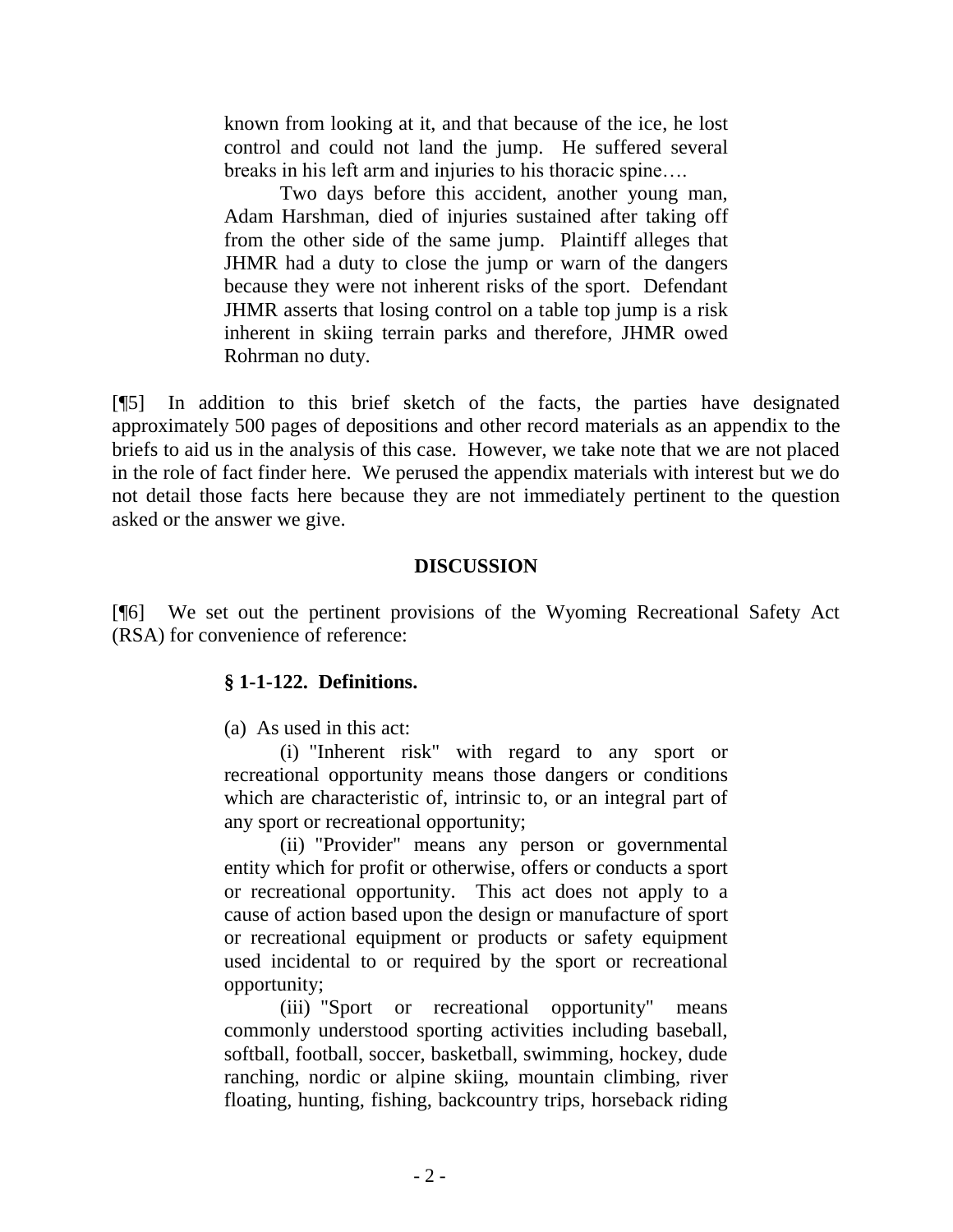known from looking at it, and that because of the ice, he lost control and could not land the jump. He suffered several breaks in his left arm and injuries to his thoracic spine….

Two days before this accident, another young man, Adam Harshman, died of injuries sustained after taking off from the other side of the same jump. Plaintiff alleges that JHMR had a duty to close the jump or warn of the dangers because they were not inherent risks of the sport. Defendant JHMR asserts that losing control on a table top jump is a risk inherent in skiing terrain parks and therefore, JHMR owed Rohrman no duty.

[¶5] In addition to this brief sketch of the facts, the parties have designated approximately 500 pages of depositions and other record materials as an appendix to the briefs to aid us in the analysis of this case. However, we take note that we are not placed in the role of fact finder here. We perused the appendix materials with interest but we do not detail those facts here because they are not immediately pertinent to the question asked or the answer we give.

### **DISCUSSION**

[¶6] We set out the pertinent provisions of the Wyoming Recreational Safety Act (RSA) for convenience of reference:

### **§ 1-1-122. Definitions.**

(a) As used in this act:

(i) "Inherent risk" with regard to any sport or recreational opportunity means those dangers or conditions which are characteristic of, intrinsic to, or an integral part of any sport or recreational opportunity;

(ii) "Provider" means any person or governmental entity which for profit or otherwise, offers or conducts a sport or recreational opportunity. This act does not apply to a cause of action based upon the design or manufacture of sport or recreational equipment or products or safety equipment used incidental to or required by the sport or recreational opportunity;

(iii) "Sport or recreational opportunity" means commonly understood sporting activities including baseball, softball, football, soccer, basketball, swimming, hockey, dude ranching, nordic or alpine skiing, mountain climbing, river floating, hunting, fishing, backcountry trips, horseback riding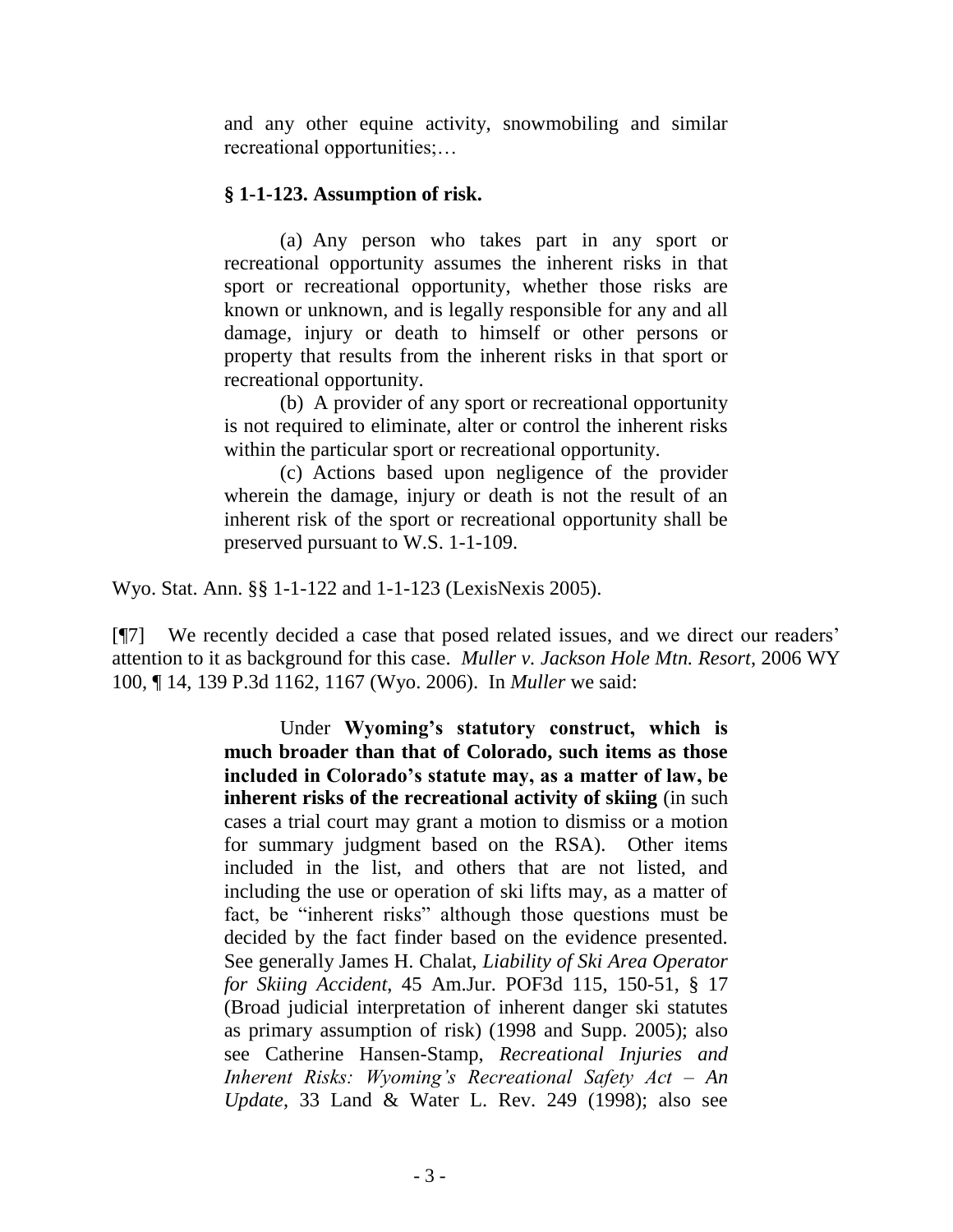and any other equine activity, snowmobiling and similar recreational opportunities;…

## **§ 1-1-123. Assumption of risk.**

(a) Any person who takes part in any sport or recreational opportunity assumes the inherent risks in that sport or recreational opportunity, whether those risks are known or unknown, and is legally responsible for any and all damage, injury or death to himself or other persons or property that results from the inherent risks in that sport or recreational opportunity.

(b) A provider of any sport or recreational opportunity is not required to eliminate, alter or control the inherent risks within the particular sport or recreational opportunity.

(c) Actions based upon negligence of the provider wherein the damage, injury or death is not the result of an inherent risk of the sport or recreational opportunity shall be preserved pursuant to W.S. 1-1-109.

Wyo. Stat. Ann. §§ 1-1-122 and 1-1-123 (LexisNexis 2005).

[¶7] We recently decided a case that posed related issues, and we direct our readers" attention to it as background for this case. *Muller v. Jackson Hole Mtn. Resort*, 2006 WY 100, ¶ 14, 139 P.3d 1162, 1167 (Wyo. 2006). In *Muller* we said:

> Under **Wyoming's statutory construct, which is much broader than that of Colorado, such items as those included in Colorado's statute may, as a matter of law, be inherent risks of the recreational activity of skiing** (in such cases a trial court may grant a motion to dismiss or a motion for summary judgment based on the RSA). Other items included in the list, and others that are not listed, and including the use or operation of ski lifts may, as a matter of fact, be "inherent risks" although those questions must be decided by the fact finder based on the evidence presented. See generally James H. Chalat, *Liability of Ski Area Operator for Skiing Accident*, 45 Am.Jur. POF3d 115, 150-51, § 17 (Broad judicial interpretation of inherent danger ski statutes as primary assumption of risk) (1998 and Supp. 2005); also see Catherine Hansen-Stamp, *Recreational Injuries and Inherent Risks: Wyoming's Recreational Safety Act – An Update*, 33 Land & Water L. Rev. 249 (1998); also see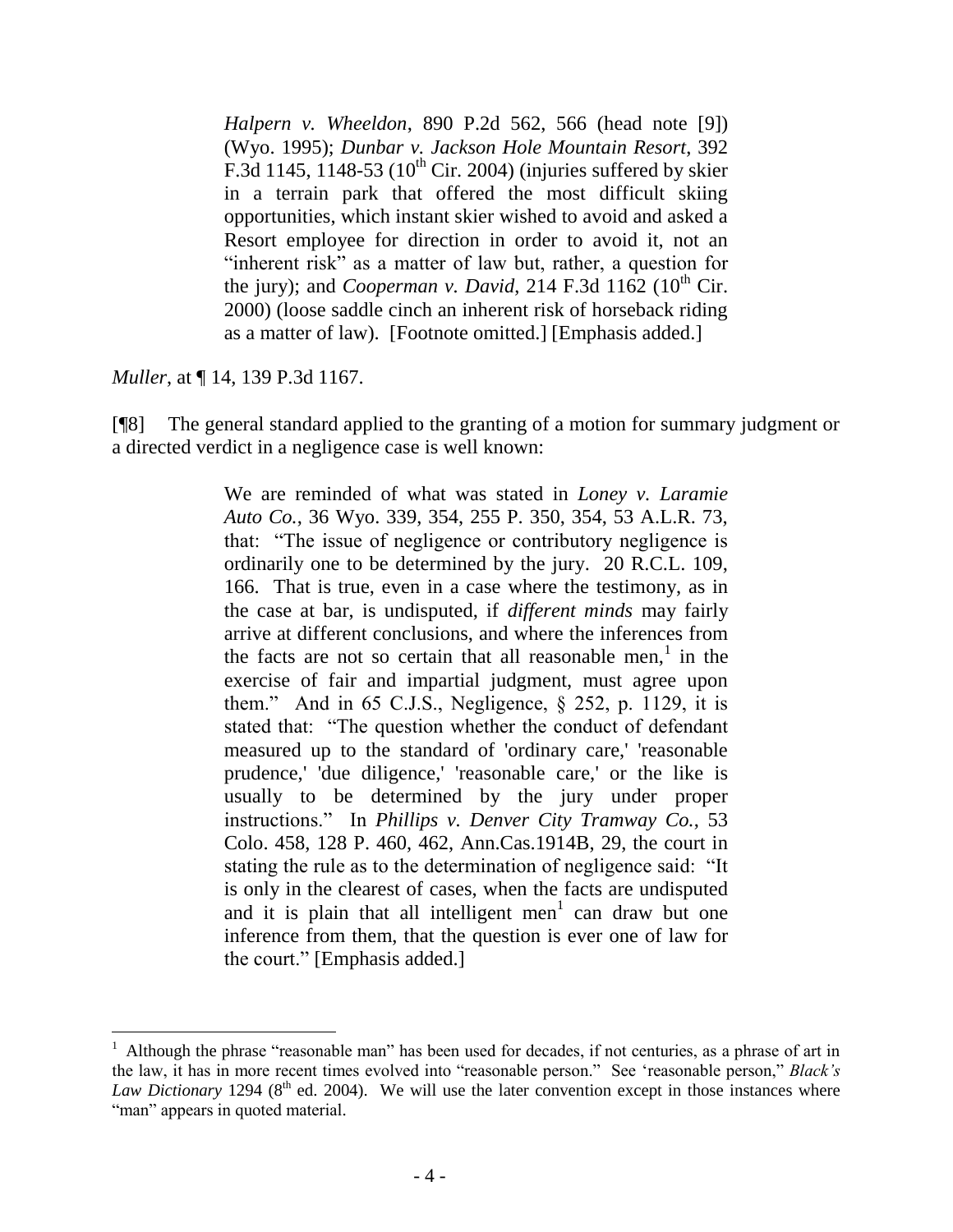*Halpern v. Wheeldon*, 890 P.2d 562, 566 (head note [9]) (Wyo. 1995); *Dunbar v. Jackson Hole Mountain Resort*, 392 F.3d 1145, 1148-53 ( $10^{th}$  Cir. 2004) (injuries suffered by skier in a terrain park that offered the most difficult skiing opportunities, which instant skier wished to avoid and asked a Resort employee for direction in order to avoid it, not an "inherent risk" as a matter of law but, rather, a question for the jury); and *Cooperman v. David*, 214 F.3d 1162 (10<sup>th</sup> Cir. 2000) (loose saddle cinch an inherent risk of horseback riding as a matter of law). [Footnote omitted.] [Emphasis added.]

*Muller*, at ¶ 14, 139 P.3d 1167.

[¶8] The general standard applied to the granting of a motion for summary judgment or a directed verdict in a negligence case is well known:

> We are reminded of what was stated in *Loney v. Laramie Auto Co.*, 36 Wyo. 339, 354, 255 P. 350, 354, 53 A.L.R. 73, that: "The issue of negligence or contributory negligence is ordinarily one to be determined by the jury. 20 R.C.L. 109, 166. That is true, even in a case where the testimony, as in the case at bar, is undisputed, if *different minds* may fairly arrive at different conclusions, and where the inferences from the facts are not so certain that all reasonable men,<sup>1</sup> in the exercise of fair and impartial judgment, must agree upon them." And in 65 C.J.S., Negligence,  $\S$  252, p. 1129, it is stated that: "The question whether the conduct of defendant measured up to the standard of 'ordinary care,' 'reasonable prudence,' 'due diligence,' 'reasonable care,' or the like is usually to be determined by the jury under proper instructions." In *Phillips v. Denver City Tramway Co.*, 53 Colo. 458, 128 P. 460, 462, Ann.Cas.1914B, 29, the court in stating the rule as to the determination of negligence said: "It is only in the clearest of cases, when the facts are undisputed and it is plain that all intelligent men<sup>1</sup> can draw but one inference from them, that the question is ever one of law for the court." [Emphasis added.]

<sup>1</sup> Although the phrase "reasonable man" has been used for decades, if not centuries, as a phrase of art in the law, it has in more recent times evolved into "reasonable person." See "reasonable person," *Black's Law Dictionary* 1294 (8<sup>th</sup> ed. 2004). We will use the later convention except in those instances where "man" appears in quoted material.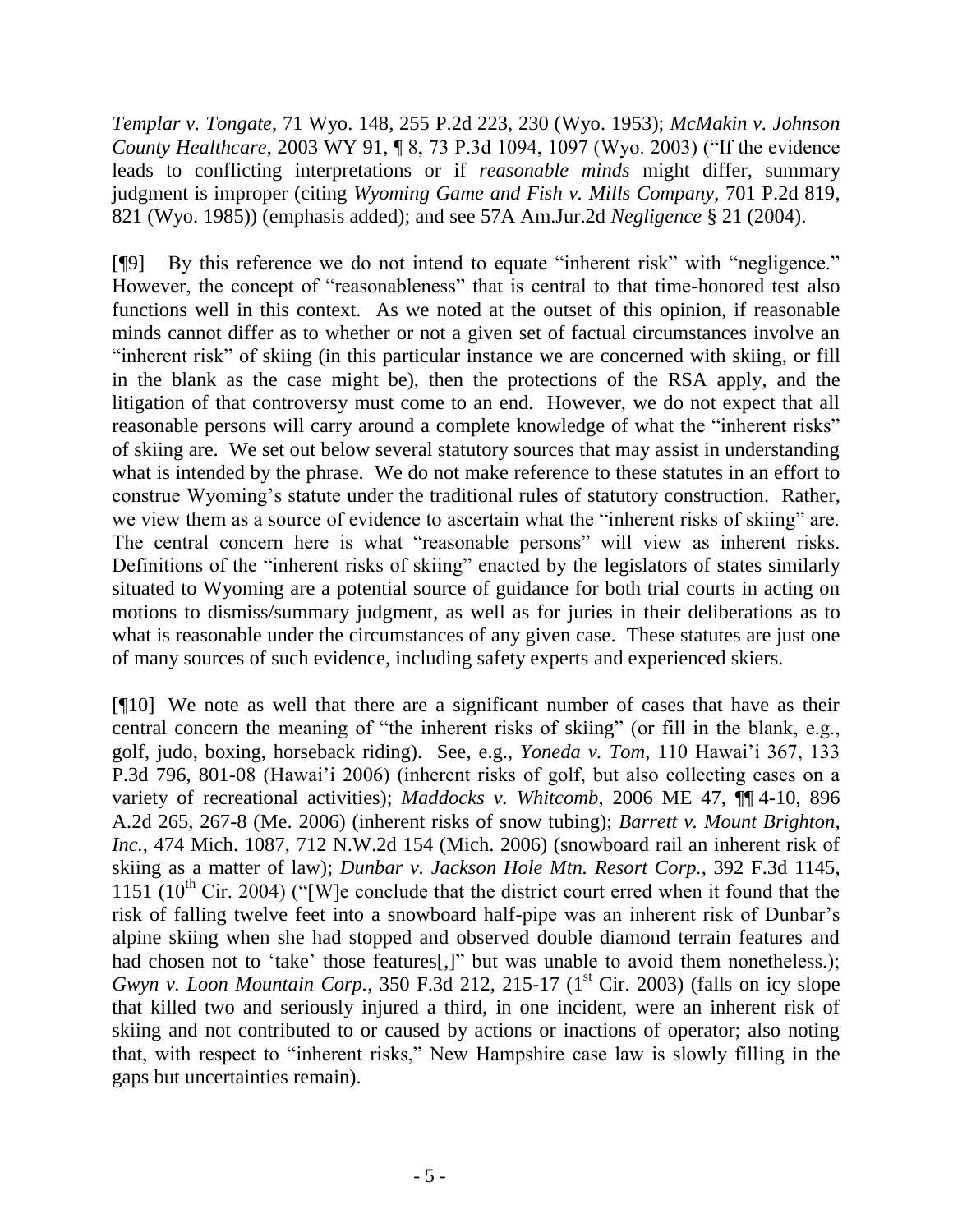*Templar v. Tongate*, 71 Wyo. 148, 255 P.2d 223, 230 (Wyo. 1953); *McMakin v. Johnson County Healthcare*, 2003 WY 91, 18, 73 P.3d 1094, 1097 (Wyo. 2003) ("If the evidence leads to conflicting interpretations or if *reasonable minds* might differ, summary judgment is improper (citing *Wyoming Game and Fish v. Mills Company*, 701 P.2d 819, 821 (Wyo. 1985)) (emphasis added); and see 57A Am.Jur.2d *Negligence* § 21 (2004).

[¶9] By this reference we do not intend to equate "inherent risk" with "negligence." However, the concept of "reasonableness" that is central to that time-honored test also functions well in this context. As we noted at the outset of this opinion, if reasonable minds cannot differ as to whether or not a given set of factual circumstances involve an "inherent risk" of skiing (in this particular instance we are concerned with skiing, or fill in the blank as the case might be), then the protections of the RSA apply, and the litigation of that controversy must come to an end. However, we do not expect that all reasonable persons will carry around a complete knowledge of what the "inherent risks" of skiing are. We set out below several statutory sources that may assist in understanding what is intended by the phrase. We do not make reference to these statutes in an effort to construe Wyoming"s statute under the traditional rules of statutory construction. Rather, we view them as a source of evidence to ascertain what the "inherent risks of skiing" are. The central concern here is what "reasonable persons" will view as inherent risks. Definitions of the "inherent risks of skiing" enacted by the legislators of states similarly situated to Wyoming are a potential source of guidance for both trial courts in acting on motions to dismiss/summary judgment, as well as for juries in their deliberations as to what is reasonable under the circumstances of any given case. These statutes are just one of many sources of such evidence, including safety experts and experienced skiers.

[¶10] We note as well that there are a significant number of cases that have as their central concern the meaning of "the inherent risks of skiing" (or fill in the blank, e.g., golf, judo, boxing, horseback riding). See, e.g., *Yoneda v. Tom*, 110 Hawai"i 367, 133 P.3d 796, 801-08 (Hawai"i 2006) (inherent risks of golf, but also collecting cases on a variety of recreational activities); *Maddocks v. Whitcomb*, 2006 ME 47, ¶¶ 4-10, 896 A.2d 265, 267-8 (Me. 2006) (inherent risks of snow tubing); *Barrett v. Mount Brighton, Inc.*, 474 Mich. 1087, 712 N.W.2d 154 (Mich. 2006) (snowboard rail an inherent risk of skiing as a matter of law); *Dunbar v. Jackson Hole Mtn. Resort Corp.*, 392 F.3d 1145, 1151 (10<sup>th</sup> Cir. 2004) ("[W]e conclude that the district court erred when it found that the risk of falling twelve feet into a snowboard half-pipe was an inherent risk of Dunbar"s alpine skiing when she had stopped and observed double diamond terrain features and had chosen not to 'take' those features[,]" but was unable to avoid them nonetheless.); *Gwyn y. Loon Mountain Corp.*, 350 F.3d 212, 215-17 (1<sup>st</sup> Cir. 2003) (falls on icy slope that killed two and seriously injured a third, in one incident, were an inherent risk of skiing and not contributed to or caused by actions or inactions of operator; also noting that, with respect to "inherent risks," New Hampshire case law is slowly filling in the gaps but uncertainties remain).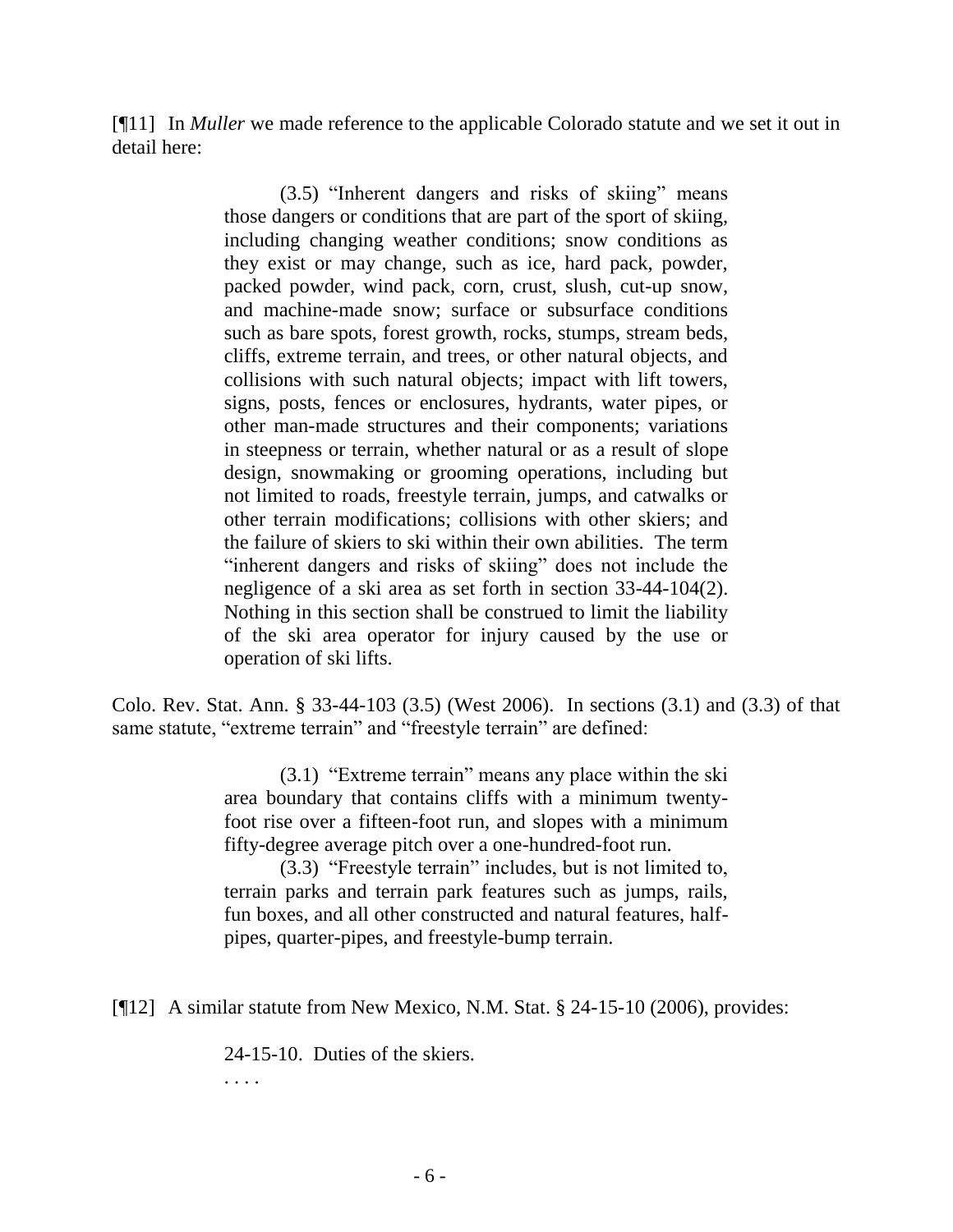[¶11] In *Muller* we made reference to the applicable Colorado statute and we set it out in detail here:

> (3.5) "Inherent dangers and risks of skiing" means those dangers or conditions that are part of the sport of skiing, including changing weather conditions; snow conditions as they exist or may change, such as ice, hard pack, powder, packed powder, wind pack, corn, crust, slush, cut-up snow, and machine-made snow; surface or subsurface conditions such as bare spots, forest growth, rocks, stumps, stream beds, cliffs, extreme terrain, and trees, or other natural objects, and collisions with such natural objects; impact with lift towers, signs, posts, fences or enclosures, hydrants, water pipes, or other man-made structures and their components; variations in steepness or terrain, whether natural or as a result of slope design, snowmaking or grooming operations, including but not limited to roads, freestyle terrain, jumps, and catwalks or other terrain modifications; collisions with other skiers; and the failure of skiers to ski within their own abilities. The term "inherent dangers and risks of skiing" does not include the negligence of a ski area as set forth in section 33-44-104(2). Nothing in this section shall be construed to limit the liability of the ski area operator for injury caused by the use or operation of ski lifts.

Colo. Rev. Stat. Ann. § 33-44-103 (3.5) (West 2006). In sections (3.1) and (3.3) of that same statute, "extreme terrain" and "freestyle terrain" are defined:

> (3.1) "Extreme terrain" means any place within the ski area boundary that contains cliffs with a minimum twentyfoot rise over a fifteen-foot run, and slopes with a minimum fifty-degree average pitch over a one-hundred-foot run.

> (3.3) "Freestyle terrain" includes, but is not limited to, terrain parks and terrain park features such as jumps, rails, fun boxes, and all other constructed and natural features, halfpipes, quarter-pipes, and freestyle-bump terrain.

[¶12] A similar statute from New Mexico, N.M. Stat. § 24-15-10 (2006), provides:

24-15-10. Duties of the skiers.

. . . .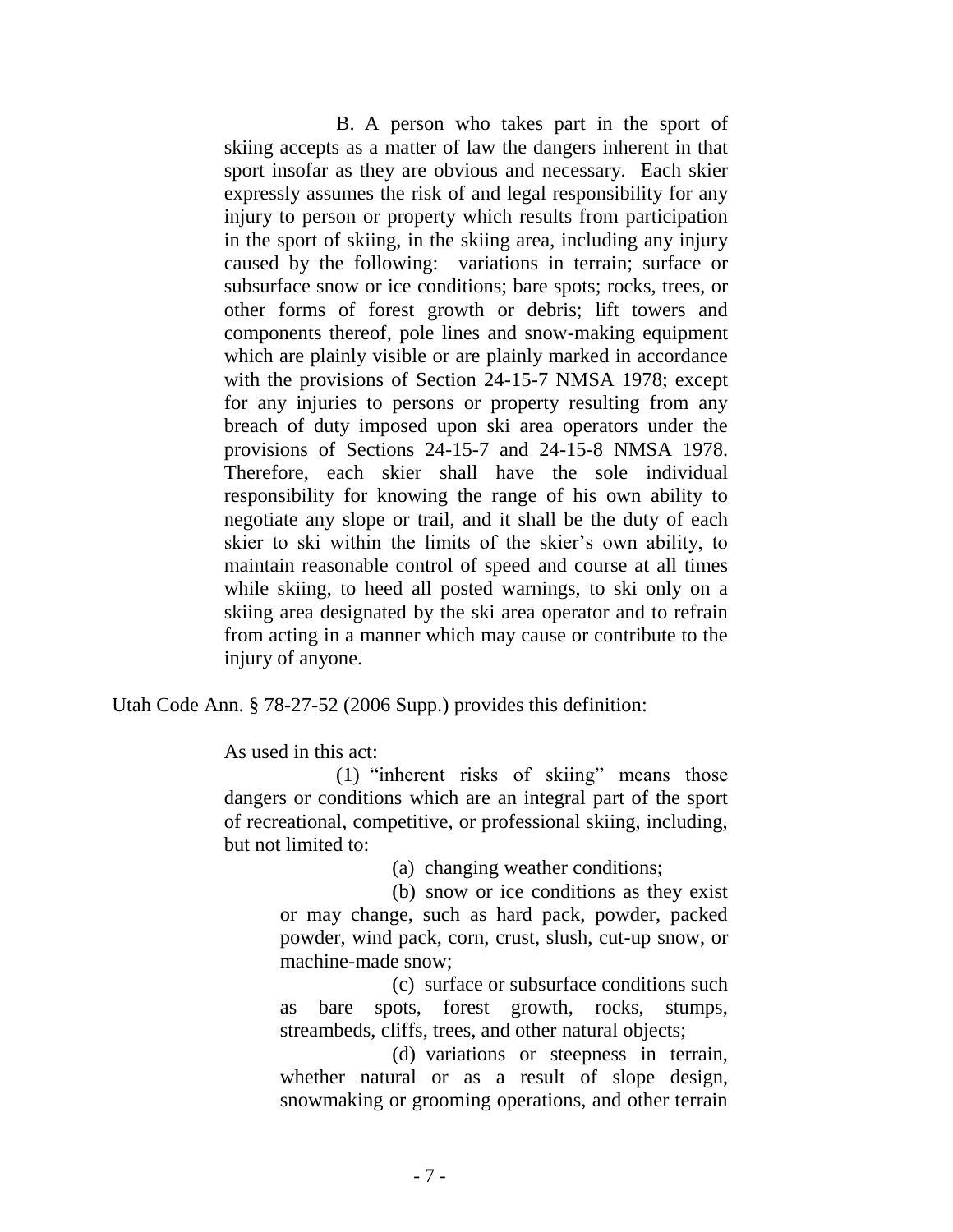B. A person who takes part in the sport of skiing accepts as a matter of law the dangers inherent in that sport insofar as they are obvious and necessary. Each skier expressly assumes the risk of and legal responsibility for any injury to person or property which results from participation in the sport of skiing, in the skiing area, including any injury caused by the following: variations in terrain; surface or subsurface snow or ice conditions; bare spots; rocks, trees, or other forms of forest growth or debris; lift towers and components thereof, pole lines and snow-making equipment which are plainly visible or are plainly marked in accordance with the provisions of Section 24-15-7 NMSA 1978; except for any injuries to persons or property resulting from any breach of duty imposed upon ski area operators under the provisions of Sections 24-15-7 and 24-15-8 NMSA 1978. Therefore, each skier shall have the sole individual responsibility for knowing the range of his own ability to negotiate any slope or trail, and it shall be the duty of each skier to ski within the limits of the skier"s own ability, to maintain reasonable control of speed and course at all times while skiing, to heed all posted warnings, to ski only on a skiing area designated by the ski area operator and to refrain from acting in a manner which may cause or contribute to the injury of anyone.

Utah Code Ann. § 78-27-52 (2006 Supp.) provides this definition:

As used in this act:

(1) "inherent risks of skiing" means those dangers or conditions which are an integral part of the sport of recreational, competitive, or professional skiing, including, but not limited to:

(a) changing weather conditions;

(b) snow or ice conditions as they exist or may change, such as hard pack, powder, packed powder, wind pack, corn, crust, slush, cut-up snow, or machine-made snow;

(c) surface or subsurface conditions such as bare spots, forest growth, rocks, stumps, streambeds, cliffs, trees, and other natural objects;

(d) variations or steepness in terrain, whether natural or as a result of slope design, snowmaking or grooming operations, and other terrain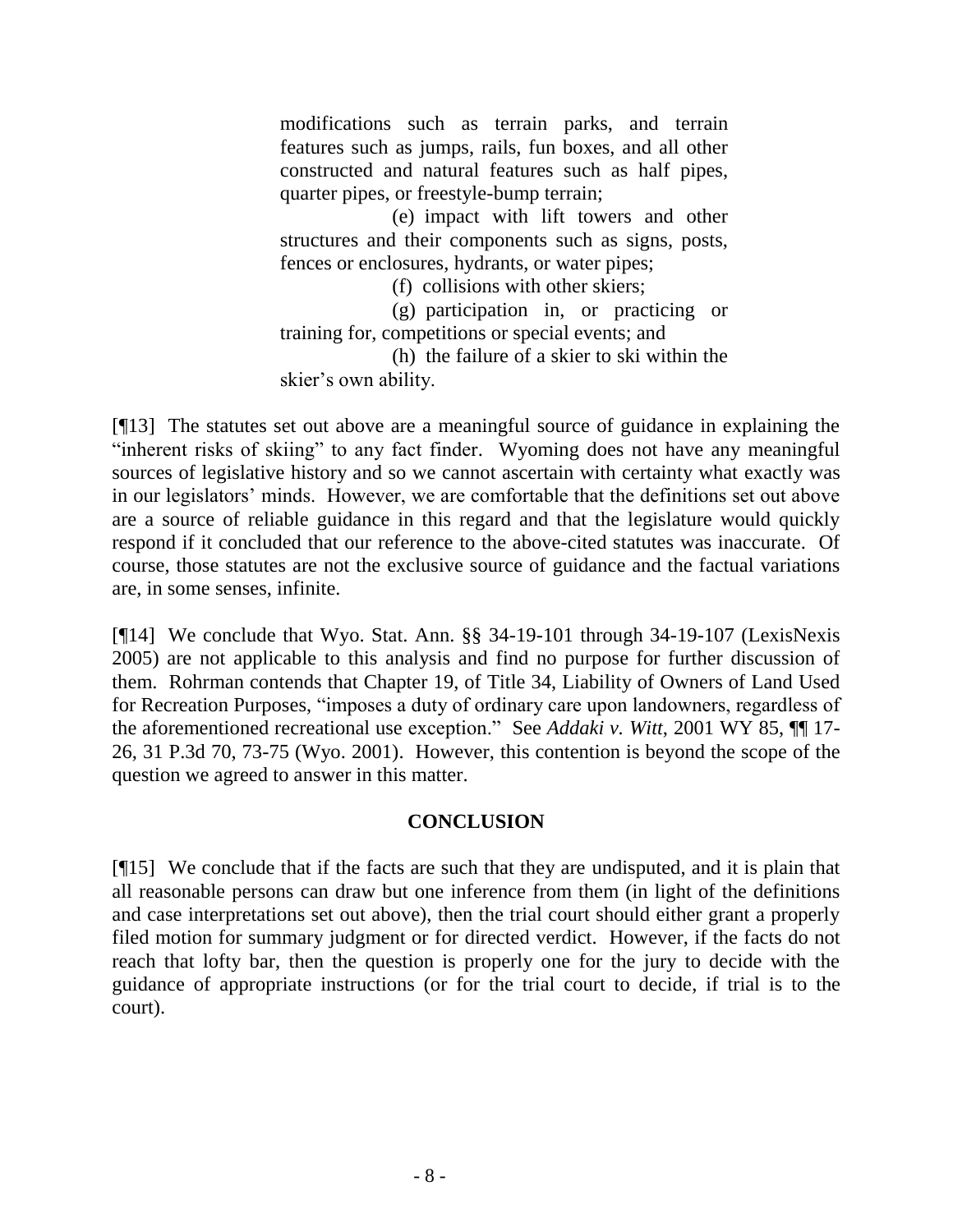modifications such as terrain parks, and terrain features such as jumps, rails, fun boxes, and all other constructed and natural features such as half pipes, quarter pipes, or freestyle-bump terrain;

(e) impact with lift towers and other structures and their components such as signs, posts, fences or enclosures, hydrants, or water pipes;

(f) collisions with other skiers;

(g) participation in, or practicing or training for, competitions or special events; and

(h) the failure of a skier to ski within the skier"s own ability.

[¶13] The statutes set out above are a meaningful source of guidance in explaining the "inherent risks of skiing" to any fact finder. Wyoming does not have any meaningful sources of legislative history and so we cannot ascertain with certainty what exactly was in our legislators' minds. However, we are comfortable that the definitions set out above are a source of reliable guidance in this regard and that the legislature would quickly respond if it concluded that our reference to the above-cited statutes was inaccurate. Of course, those statutes are not the exclusive source of guidance and the factual variations are, in some senses, infinite.

[¶14] We conclude that Wyo. Stat. Ann. §§ 34-19-101 through 34-19-107 (LexisNexis 2005) are not applicable to this analysis and find no purpose for further discussion of them. Rohrman contends that Chapter 19, of Title 34, Liability of Owners of Land Used for Recreation Purposes, "imposes a duty of ordinary care upon landowners, regardless of the aforementioned recreational use exception." See *Addaki v. Witt*, 2001 WY 85, ¶¶ 17- 26, 31 P.3d 70, 73-75 (Wyo. 2001). However, this contention is beyond the scope of the question we agreed to answer in this matter.

# **CONCLUSION**

[¶15] We conclude that if the facts are such that they are undisputed, and it is plain that all reasonable persons can draw but one inference from them (in light of the definitions and case interpretations set out above), then the trial court should either grant a properly filed motion for summary judgment or for directed verdict. However, if the facts do not reach that lofty bar, then the question is properly one for the jury to decide with the guidance of appropriate instructions (or for the trial court to decide, if trial is to the court).